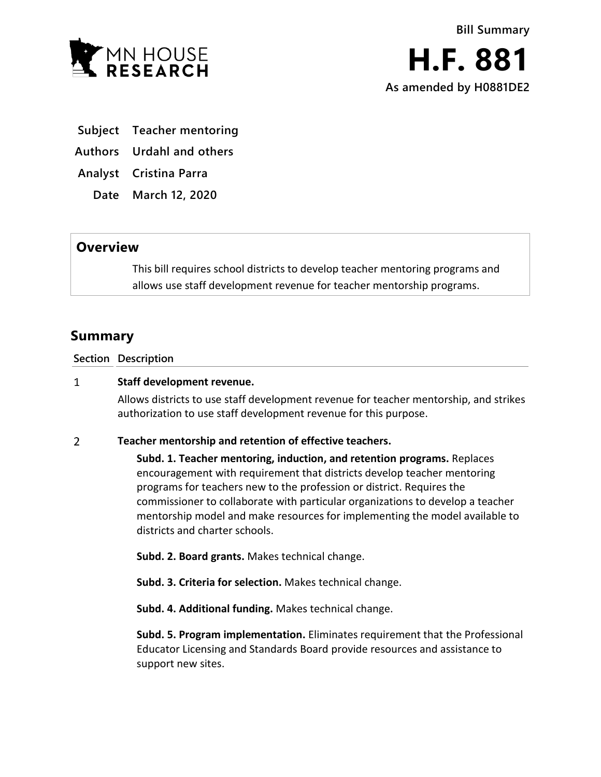

- **Subject Teacher mentoring**
- **Authors Urdahl and others**

**Analyst Cristina Parra**

**Date March 12, 2020**

## **Overview**

This bill requires school districts to develop teacher mentoring programs and allows use staff development revenue for teacher mentorship programs.

## **Summary**

**Section Description**

## $\mathbf{1}$ **Staff development revenue.**

Allows districts to use staff development revenue for teacher mentorship, and strikes authorization to use staff development revenue for this purpose.

## $\overline{2}$ **Teacher mentorship and retention of effective teachers.**

**Subd. 1. Teacher mentoring, induction, and retention programs.** Replaces encouragement with requirement that districts develop teacher mentoring programs for teachers new to the profession or district. Requires the commissioner to collaborate with particular organizations to develop a teacher mentorship model and make resources for implementing the model available to districts and charter schools.

**Subd. 2. Board grants.** Makes technical change.

**Subd. 3. Criteria for selection.** Makes technical change.

**Subd. 4. Additional funding.** Makes technical change.

**Subd. 5. Program implementation.** Eliminates requirement that the Professional Educator Licensing and Standards Board provide resources and assistance to support new sites.